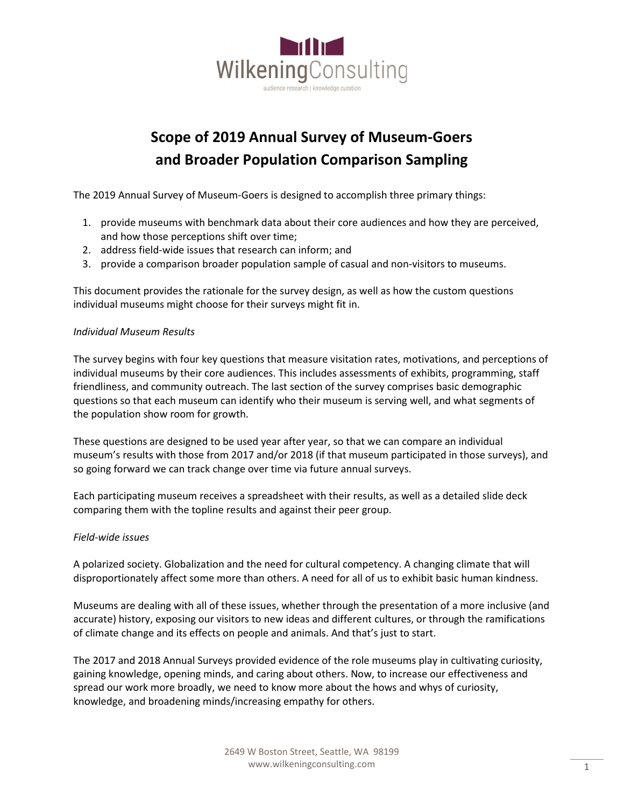

## **Scope of 2019 Annual Survey of Museum-Goers and Broader Population Comparison Sampling**

The 2019 Annual Survey of Museum-Goers is designed to accomplish three primary things:

- 1. provide museums with benchmark data about their core audiences and how they are perceived, and how those perceptions shift over time;
- 2. address field-wide issues that research can inform; and
- 3. provide a comparison broader population sample of casual and non-visitors to museums.

This document provides the rationale for the survey design, as well as how the custom questions individual museums might choose for their surveys might fit in.

## *Individual Museum Results*

The survey begins with four key questions that measure visitation rates, motivations, and perceptions of individual museums by their core audiences. This includes assessments of exhibits, programming, staff friendliness, and community outreach. The last section of the survey comprises basic demographic questions so that each museum can identify who their museum is serving well, and what segments of the population show room for growth.

These questions are designed to be used year after year, so that we can compare an individual museum's results with those from 2017 and/or 2018 (if that museum participated in those surveys), and so going forward we can track change over time via future annual surveys.

Each participating museum receives a spreadsheet with their results, as well as a detailed slide deck comparing them with the topline results and against their peer group.

## *Field-wide issues*

A polarized society. Globalization and the need for cultural competency. A changing climate that will disproportionately affect some more than others. A need for all of us to exhibit basic human kindness.

Museums are dealing with all of these issues, whether through the presentation of a more inclusive (and accurate) history, exposing our visitors to new ideas and different cultures, or through the ramifications of climate change and its effects on people and animals. And that's just to start.

The 2017 and 2018 Annual Surveys provided evidence of the role museums play in cultivating curiosity, gaining knowledge, opening minds, and caring about others. Now, to increase our effectiveness and spread our work more broadly, we need to know more about the hows and whys of curiosity, knowledge, and broadening minds/increasing empathy for others.